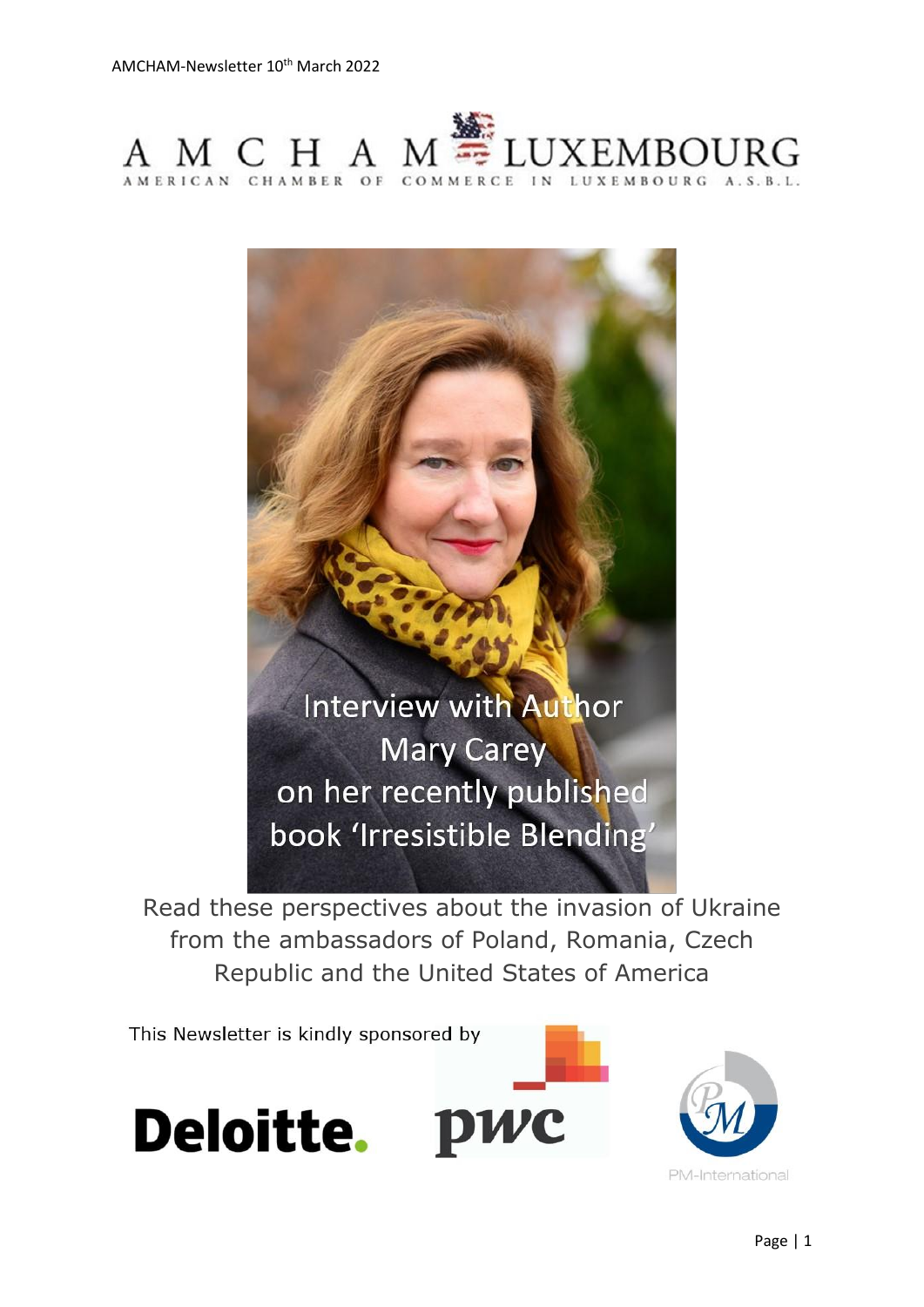



Read these perspectives about the invasion of Ukraine from the ambassadors of Poland, Romania, Czech Republic and the United States of America

This Newsletter is kindly sponsored by





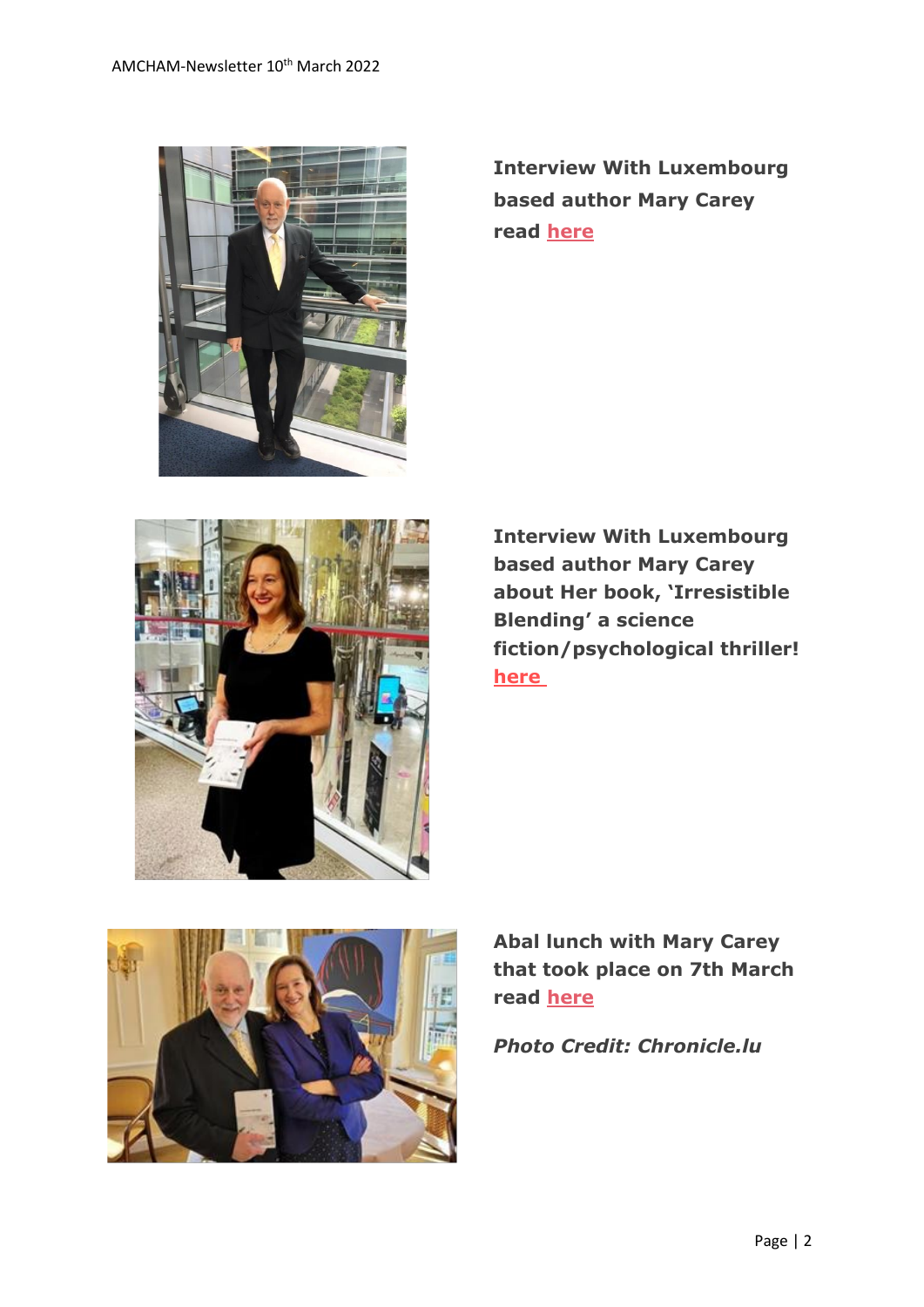

**Interview With Luxembourg based author Mary Carey read [here](https://www.amcham.lu/newsletter/chairmans-remarks-10th-march-2022/)**



**Interview With Luxembourg based author Mary Carey about Her book, 'Irresistible Blending' a science fiction/psychological thriller! [here](https://www.amcham.lu/newsletter/interview-with-mary-carey/)**



**Abal lunch with Mary Carey that took place on 7th March read [here](https://chronicle.lu/category/american-chamber-amcham/39939-abal-luncheon-mary-carey-shares-tips-on-writing-a-book-getting-published)**

*Photo Credit: Chronicle.lu*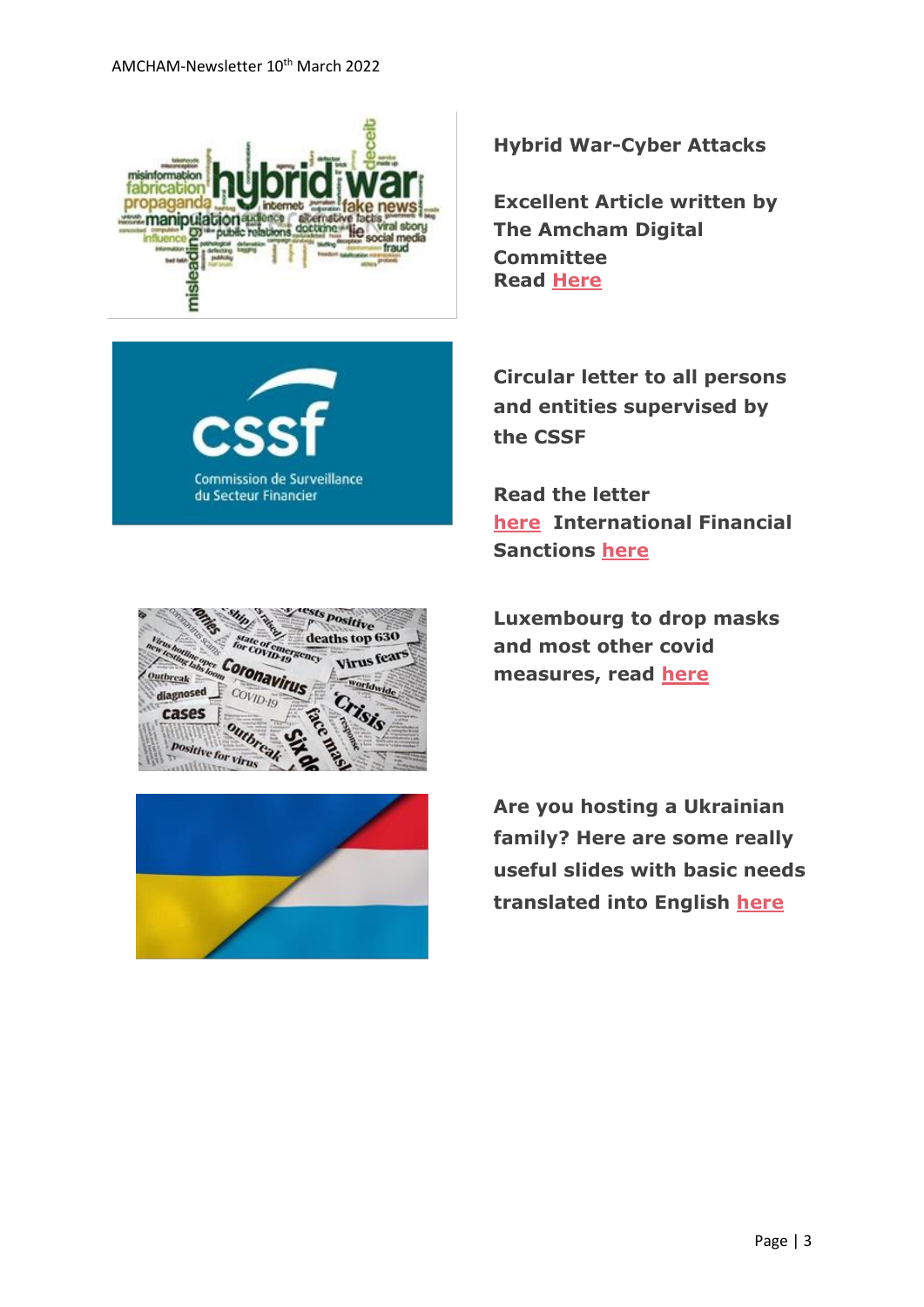



**Hybrid War-Cyber Attacks**

**Excellent Article written by The Amcham Digital Committee Read [Here](https://www.amcham.lu/newsletter/hybrid-war-cyber-attacks/)**

**Circular letter to all persons and entities supervised by the CSSF**

**Read the letter [here](https://www.cssf.lu/en/2022/03/circular-letter-to-all-persons-and-entities-supervised-by-the-cssf/) International Financial Sanctions [here](https://www.cssf.lu/en/international-financial-sanctions/)**







**Are you hosting a Ukrainian family? Here are some really useful slides with basic needs translated into English [here](https://www.amcham.lu/wp-content/uploads/2022/03/US-Ukrainian.pdf)**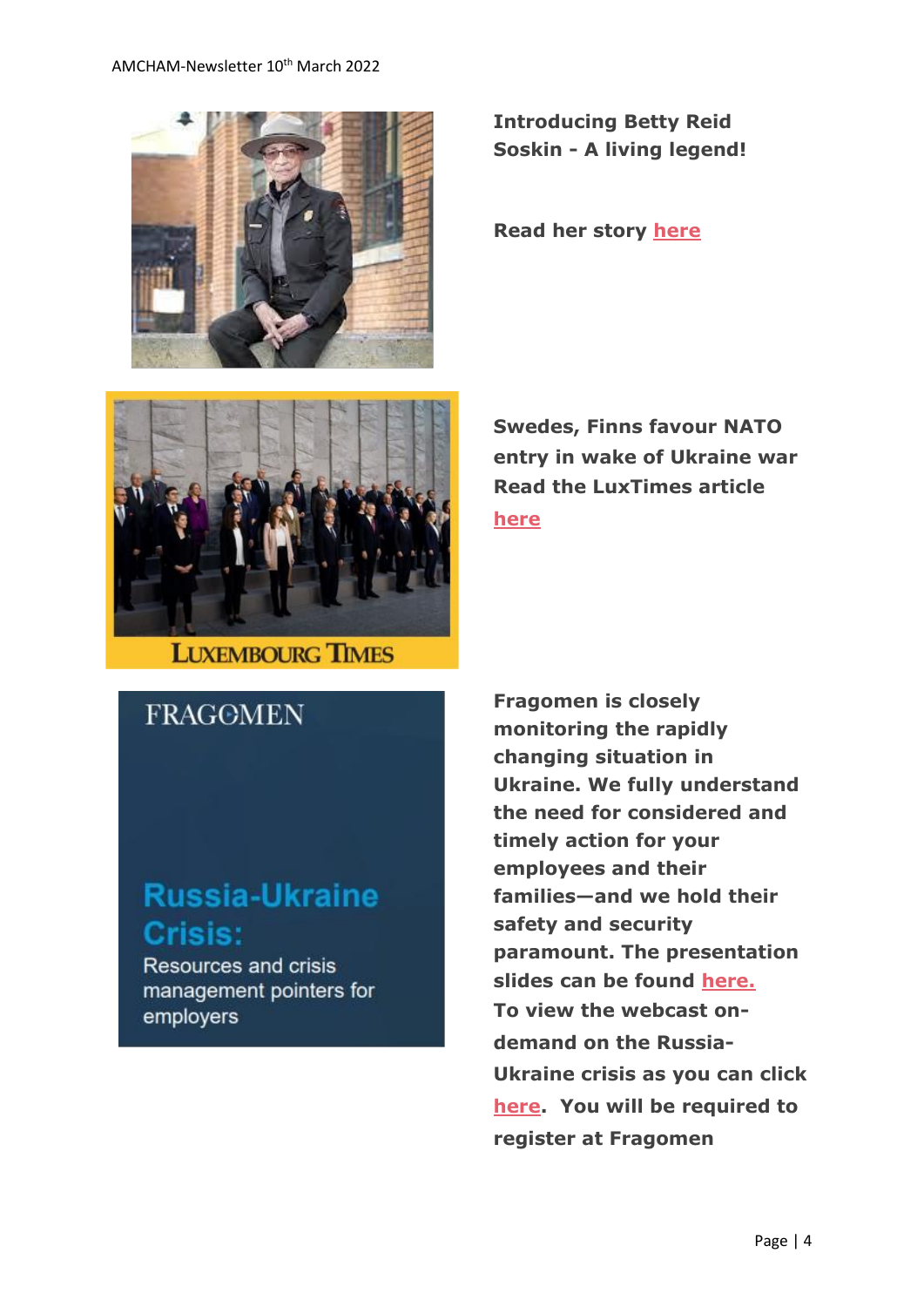#### AMCHAM-Newsletter 10<sup>th</sup> March 2022



**Introducing Betty Reid Soskin - A living legend!**

**Read her story [here](https://www.amcham.lu/newsletter/betty-reid-soskin-a-legend/)**



**Swedes, Finns favour NATO entry in wake of Ukraine war Read the LuxTimes article [here](https://www.luxtimes.lu/en/world/swedes-finns-favour-nato-entry-in-wake-of-ukraine-war-62221455de135b923609f59c)**

## **FRAGOMEN**

# **Russia-Ukraine Crisis:**

Resources and crisis management pointers for employers

**Fragomen is closely monitoring the rapidly changing situation in Ukraine. We fully understand the need for considered and timely action for your employees and their families—and we hold their safety and security paramount. The presentation slides can be found [here.](https://pages.fragomen.com/rs/130-CKI-333/images/Russia-Ukraine%20Crisis%20Webinar%20-%20March%202022.pdf?mkt_tok=MTMwLUNLSS0zMzMAAAGC6sNEgaF352tUsnGjMgPtggbr9hMaFPRxIKZk6FPFr0THQKXlmNN-IDV8yKvopmT0zeWZ9kufqJIM-az7_yGPCzMtozgOAvvXfv1UWJPT4A) To view the webcast ondemand on the Russia-Ukraine crisis as you can click [here.](https://event.on24.com/wcc/r/3683420/BE3BACF1796D3F22154C9D34ED96BFFA?mkt_tok=MTMwLUNLSS0zMzMAAAGC6sNEgY347aa5z-V136cfRdn-HBdobN8apbcFX5jEjreeGtw477u7LAkdOO6ROFTUXU8How6lNlmsr_4BKAJU_0YvItrHTHAYAb3cSh-Zqg) You will be required to register at Fragomen**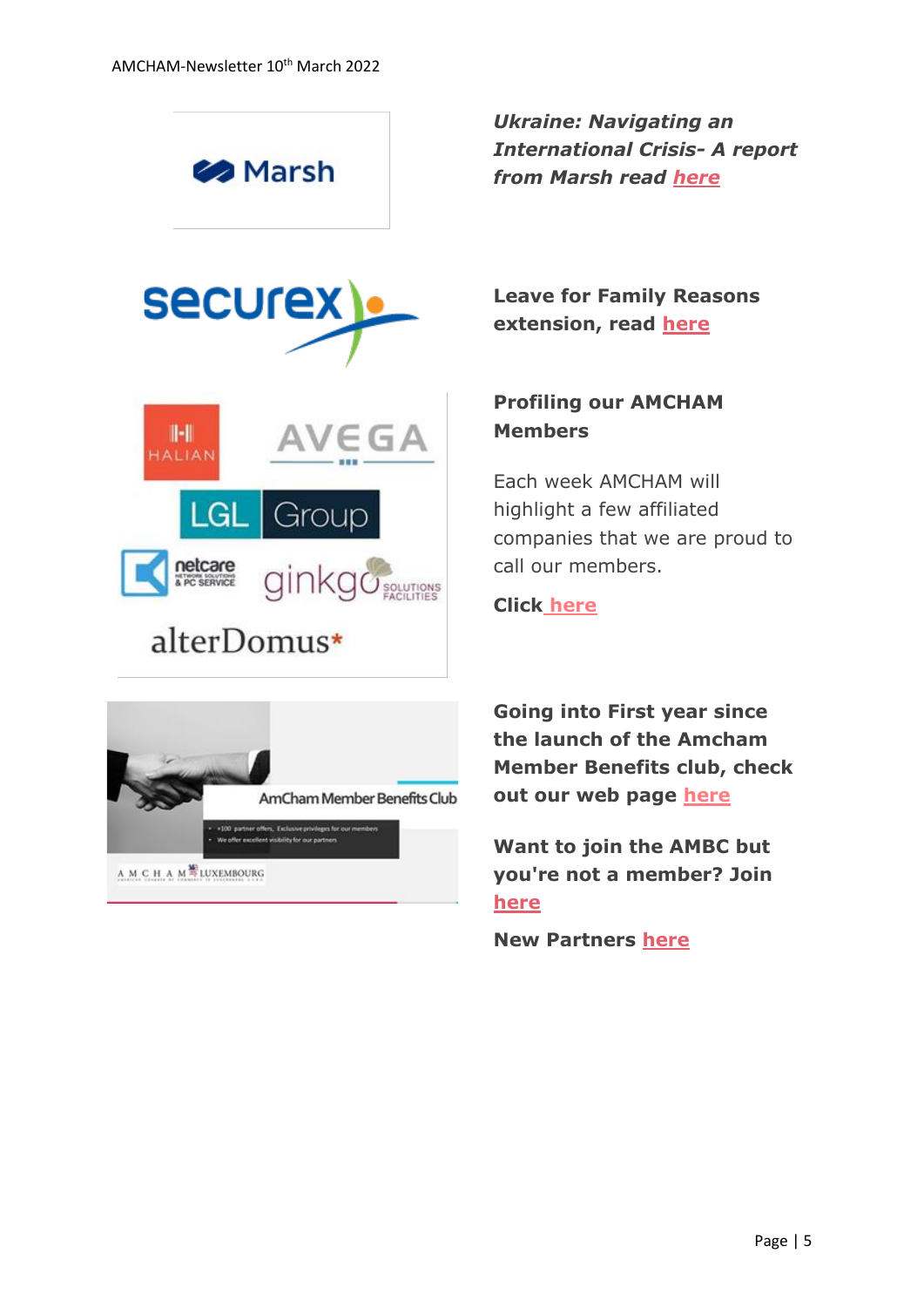

*Ukraine: Navigating an International Crisis- A report from Marsh read [here](https://www.marshmclennan.com/pages/ukraine--navigating-an-international-crisis.html)*



# alterDomus\*

A M C H A M<sup>S</sup>LUXEMBOURG

wieges for ou

**Leave for Family Reasons extension, read [here](https://www.amcham.lu/newsletter/the-leave-for-family-reason-in-the-context-of-the-covid-19-pandemic-extended-until-30-april-2022/)**

### **Profiling our AMCHAM Members**

Each week AMCHAM will highlight a few affiliated companies that we are proud to call our members.

#### **Click [here](https://www.amcham.lu/newsletter/profiling-our-amcham-members-10th-march-2022/)**



**Want to join the AMBC but you're not a member? Join [here](https://www.amcham.lu/amcham-benefits-club/ambc-card-for-non-members/)**

**New Partners [here](https://www.amcham.lu/newsletter/new-mbc-partners-10th-march-2022/)**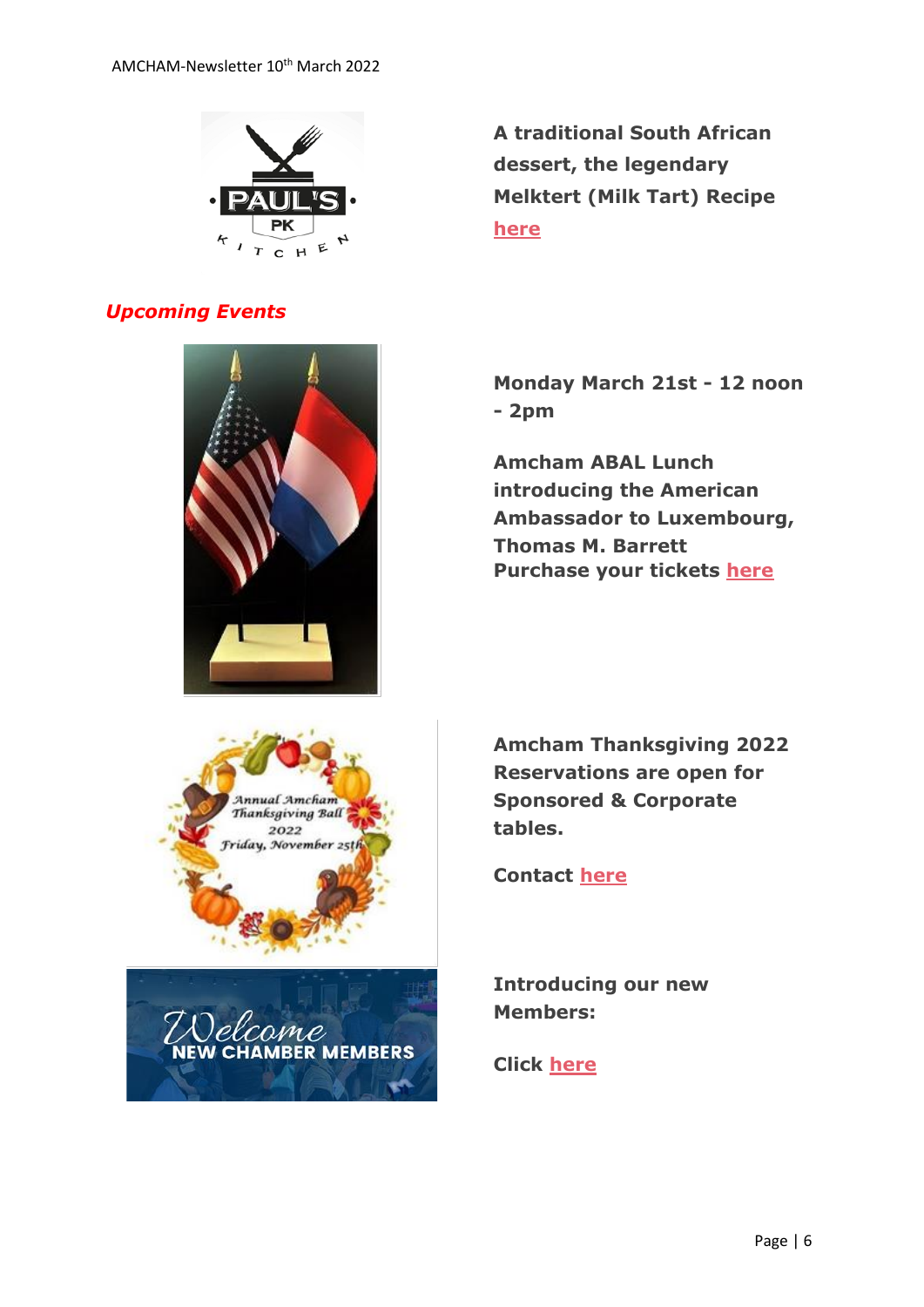

#### *Upcoming Events*



**A traditional South African dessert, the legendary Melktert (Milk Tart) Recipe [here](https://www.amcham.lu/newsletter/recipe-south-african-dessert-melktert-milk-tart/)**

**Monday March 21st - 12 noon - 2pm**

**Amcham ABAL Lunch introducing the American Ambassador to Luxembourg, Thomas M. Barrett Purchase your tickets [here](https://send.lola.lu/t/d-l-fljkiid-tdxlhyduy-f/)**





2022

**Introducing our new Members:**

**Click [here](https://www.amcham.lu/newsletter/new-members-as-of-10th-march-2022/)**